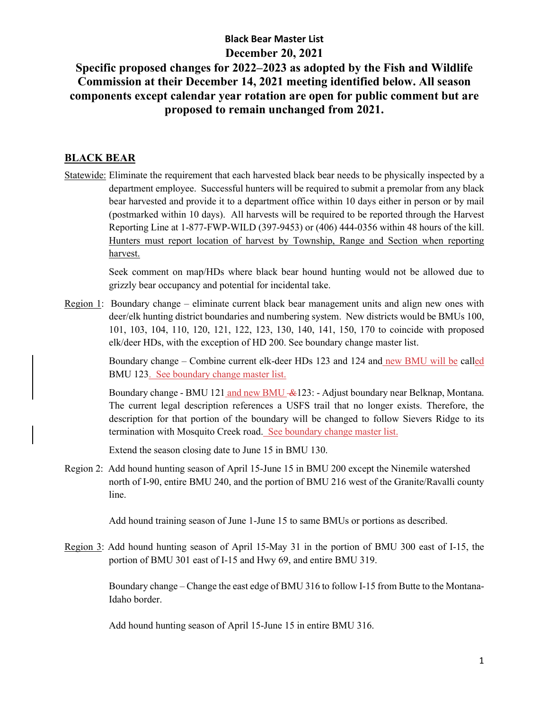# **Specific proposed changes for 2022–2023 as adopted by the Fish and Wildlife Commission at their December 14, 2021 meeting identified below. All season components except calendar year rotation are open for public comment but are proposed to remain unchanged from 2021.**

#### **BLACK BEAR**

Statewide: Eliminate the requirement that each harvested black bear needs to be physically inspected by a department employee. Successful hunters will be required to submit a premolar from any black bear harvested and provide it to a department office within 10 days either in person or by mail (postmarked within 10 days). All harvests will be required to be reported through the Harvest Reporting Line at 1-877-FWP-WILD (397-9453) or (406) 444-0356 within 48 hours of the kill. Hunters must report location of harvest by Township, Range and Section when reporting harvest.

> Seek comment on map/HDs where black bear hound hunting would not be allowed due to grizzly bear occupancy and potential for incidental take.

Region 1: Boundary change – eliminate current black bear management units and align new ones with deer/elk hunting district boundaries and numbering system. New districts would be BMUs 100, 101, 103, 104, 110, 120, 121, 122, 123, 130, 140, 141, 150, 170 to coincide with proposed elk/deer HDs, with the exception of HD 200. See boundary change master list.

> Boundary change – Combine current elk-deer HDs 123 and 124 and new BMU will be called BMU 123. See boundary change master list.

> Boundary change - BMU 121 and new BMU &123: - Adjust boundary near Belknap, Montana. The current legal description references a USFS trail that no longer exists. Therefore, the description for that portion of the boundary will be changed to follow Sievers Ridge to its termination with Mosquito Creek road. See boundary change master list.

Extend the season closing date to June 15 in BMU 130.

Region 2: Add hound hunting season of April 15-June 15 in BMU 200 except the Ninemile watershed north of I-90, entire BMU 240, and the portion of BMU 216 west of the Granite/Ravalli county line.

Add hound training season of June 1-June 15 to same BMUs or portions as described.

Region 3: Add hound hunting season of April 15-May 31 in the portion of BMU 300 east of I-15, the portion of BMU 301 east of I-15 and Hwy 69, and entire BMU 319.

> Boundary change – Change the east edge of BMU 316 to follow I-15 from Butte to the Montana-Idaho border.

Add hound hunting season of April 15-June 15 in entire BMU 316.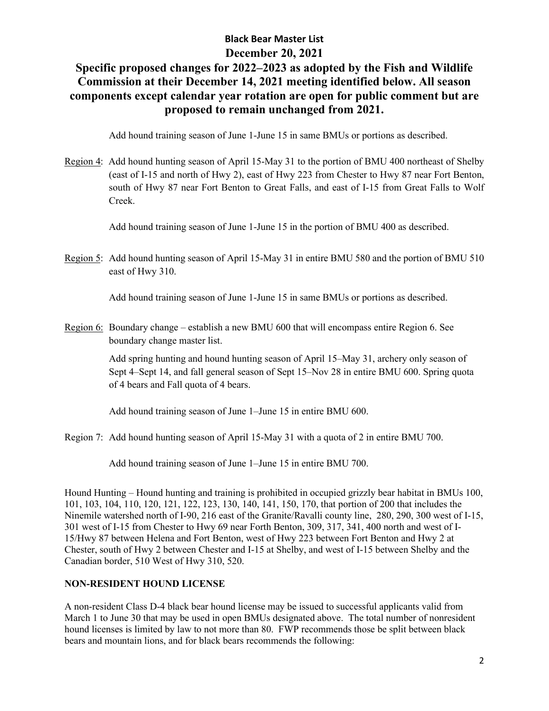# **Specific proposed changes for 2022–2023 as adopted by the Fish and Wildlife Commission at their December 14, 2021 meeting identified below. All season components except calendar year rotation are open for public comment but are proposed to remain unchanged from 2021.**

Add hound training season of June 1-June 15 in same BMUs or portions as described.

Region 4: Add hound hunting season of April 15-May 31 to the portion of BMU 400 northeast of Shelby (east of I-15 and north of Hwy 2), east of Hwy 223 from Chester to Hwy 87 near Fort Benton, south of Hwy 87 near Fort Benton to Great Falls, and east of I-15 from Great Falls to Wolf Creek.

Add hound training season of June 1-June 15 in the portion of BMU 400 as described.

Region 5: Add hound hunting season of April 15-May 31 in entire BMU 580 and the portion of BMU 510 east of Hwy 310.

Add hound training season of June 1-June 15 in same BMUs or portions as described.

Region 6: Boundary change – establish a new BMU 600 that will encompass entire Region 6. See boundary change master list.

> Add spring hunting and hound hunting season of April 15–May 31, archery only season of Sept 4–Sept 14, and fall general season of Sept 15–Nov 28 in entire BMU 600. Spring quota of 4 bears and Fall quota of 4 bears.

Add hound training season of June 1–June 15 in entire BMU 600.

Region 7: Add hound hunting season of April 15-May 31 with a quota of 2 in entire BMU 700.

Add hound training season of June 1–June 15 in entire BMU 700.

Hound Hunting – Hound hunting and training is prohibited in occupied grizzly bear habitat in BMUs 100, 101, 103, 104, 110, 120, 121, 122, 123, 130, 140, 141, 150, 170, that portion of 200 that includes the Ninemile watershed north of I-90, 216 east of the Granite/Ravalli county line, 280, 290, 300 west of I-15, 301 west of I-15 from Chester to Hwy 69 near Forth Benton, 309, 317, 341, 400 north and west of I-15/Hwy 87 between Helena and Fort Benton, west of Hwy 223 between Fort Benton and Hwy 2 at Chester, south of Hwy 2 between Chester and I-15 at Shelby, and west of I-15 between Shelby and the Canadian border, 510 West of Hwy 310, 520.

#### **NON-RESIDENT HOUND LICENSE**

A non-resident Class D-4 black bear hound license may be issued to successful applicants valid from March 1 to June 30 that may be used in open BMUs designated above. The total number of nonresident hound licenses is limited by law to not more than 80. FWP recommends those be split between black bears and mountain lions, and for black bears recommends the following: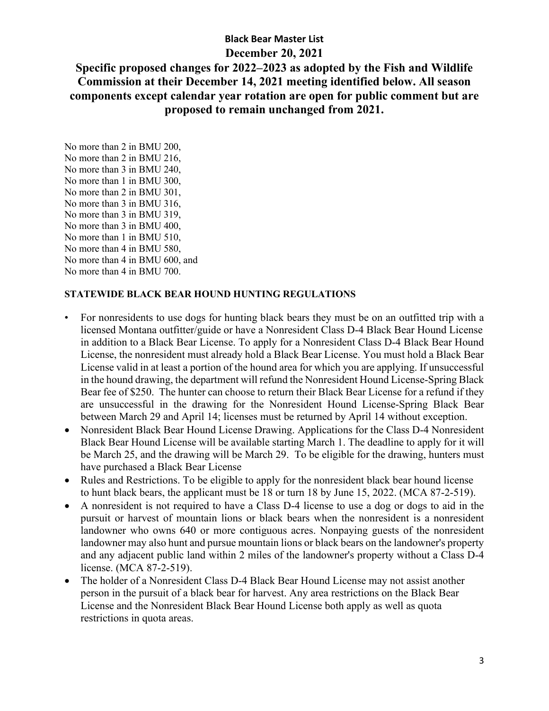## **Specific proposed changes for 2022–2023 as adopted by the Fish and Wildlife Commission at their December 14, 2021 meeting identified below. All season components except calendar year rotation are open for public comment but are proposed to remain unchanged from 2021.**

No more than 2 in BMU 200, No more than 2 in BMU 216, No more than 3 in BMU 240, No more than 1 in BMU 300, No more than 2 in BMU 301, No more than 3 in BMU 316, No more than 3 in BMU 319, No more than 3 in BMU 400, No more than 1 in BMU 510, No more than 4 in BMU 580, No more than 4 in BMU 600, and No more than 4 in BMU 700.

#### **STATEWIDE BLACK BEAR HOUND HUNTING REGULATIONS**

- For nonresidents to use dogs for hunting black bears they must be on an outfitted trip with a licensed Montana outfitter/guide or have a Nonresident Class D-4 Black Bear Hound License in addition to a Black Bear License. To apply for a Nonresident Class D-4 Black Bear Hound License, the nonresident must already hold a Black Bear License. You must hold a Black Bear License valid in at least a portion of the hound area for which you are applying. If unsuccessful in the hound drawing, the department will refund the Nonresident Hound License-Spring Black Bear fee of \$250. The hunter can choose to return their Black Bear License for a refund if they are unsuccessful in the drawing for the Nonresident Hound License-Spring Black Bear between March 29 and April 14; licenses must be returned by April 14 without exception.
- Nonresident Black Bear Hound License Drawing. Applications for the Class D-4 Nonresident Black Bear Hound License will be available starting March 1. The deadline to apply for it will be March 25, and the drawing will be March 29. To be eligible for the drawing, hunters must have purchased a Black Bear License
- Rules and Restrictions. To be eligible to apply for the nonresident black bear hound license to hunt black bears, the applicant must be 18 or turn 18 by June 15, 2022. (MCA 87-2-519).
- A nonresident is not required to have a Class D-4 license to use a dog or dogs to aid in the pursuit or harvest of mountain lions or black bears when the nonresident is a nonresident landowner who owns 640 or more contiguous acres. Nonpaying guests of the nonresident landowner may also hunt and pursue mountain lions or black bears on the landowner's property and any adjacent public land within 2 miles of the landowner's property without a Class D-4 license. (MCA 87-2-519).
- The holder of a Nonresident Class D-4 Black Bear Hound License may not assist another person in the pursuit of a black bear for harvest. Any area restrictions on the Black Bear License and the Nonresident Black Bear Hound License both apply as well as quota restrictions in quota areas.